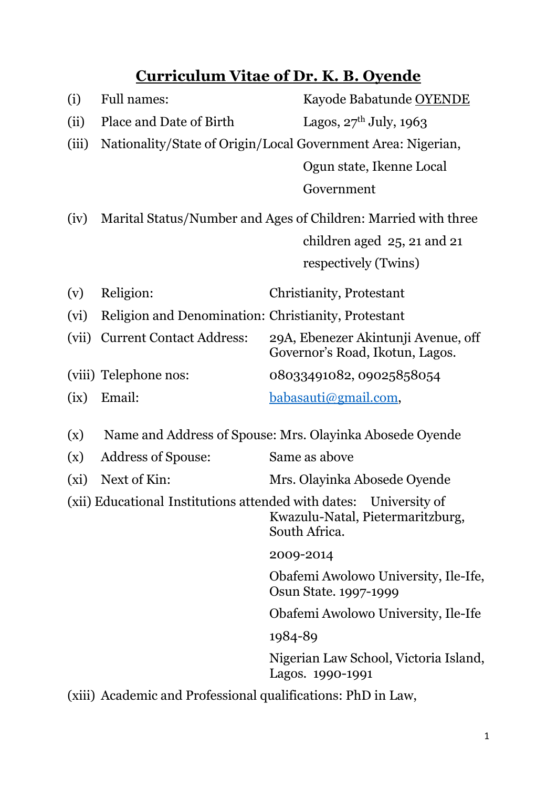# **Curriculum Vitae of Dr. K.B. Oyende**

| (i)   | <b>Full names:</b>                                             | Kayode Babatunde OYENDE                                                                                                |
|-------|----------------------------------------------------------------|------------------------------------------------------------------------------------------------------------------------|
| (ii)  | Place and Date of Birth                                        | Lagos, $27th$ July, 1963                                                                                               |
| (iii) |                                                                | Nationality/State of Origin/Local Government Area: Nigerian,                                                           |
|       |                                                                |                                                                                                                        |
|       |                                                                | Ogun state, Ikenne Local                                                                                               |
|       |                                                                | Government                                                                                                             |
| (iv)  | Marital Status/Number and Ages of Children: Married with three |                                                                                                                        |
|       |                                                                | children aged $25$ , 21 and 21                                                                                         |
|       |                                                                | respectively (Twins)                                                                                                   |
| (v)   | Religion:                                                      | Christianity, Protestant                                                                                               |
| (vi)  | Religion and Denomination: Christianity, Protestant            |                                                                                                                        |
| (vii) | <b>Current Contact Address:</b>                                | 29A, Ebenezer Akintunji Avenue, off<br>Governor's Road, Ikotun, Lagos.                                                 |
|       | (viii) Telephone nos:                                          | 08033491082, 09025858054                                                                                               |
| (ix)  | Email:                                                         | babasauti@gmail.com,                                                                                                   |
| (x)   | Name and Address of Spouse: Mrs. Olayinka Abosede Oyende       |                                                                                                                        |
| (x)   | <b>Address of Spouse:</b>                                      | Same as above                                                                                                          |
| (xi)  | Next of Kin:                                                   | Mrs. Olayinka Abosede Oyende                                                                                           |
|       |                                                                | (xii) Educational Institutions attended with dates: University of<br>Kwazulu-Natal, Pietermaritzburg,<br>South Africa. |
|       |                                                                | 2009-2014                                                                                                              |
|       |                                                                | Obafemi Awolowo University, Ile-Ife,<br>Osun State. 1997-1999                                                          |
|       |                                                                | Obafemi Awolowo University, Ile-Ife                                                                                    |
|       |                                                                | 1984-89                                                                                                                |
|       |                                                                | Nigerian Law School, Victoria Island,<br>Lagos. 1990-1991                                                              |
|       |                                                                |                                                                                                                        |

(xiii) Academic and Professional qualifications: PhD in Law,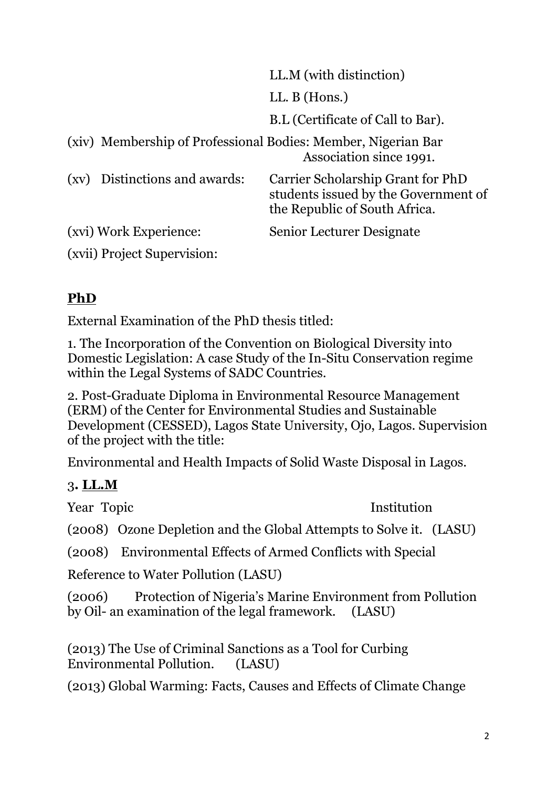|                                                               | LL.M (with distinction)                                                                                    |  |  |
|---------------------------------------------------------------|------------------------------------------------------------------------------------------------------------|--|--|
|                                                               | LL. $B$ (Hons.)                                                                                            |  |  |
|                                                               | B.L (Certificate of Call to Bar).                                                                          |  |  |
| (xiv) Membership of Professional Bodies: Member, Nigerian Bar | Association since 1991.                                                                                    |  |  |
| Distinctions and awards:<br>$\left( xy\right)$                | Carrier Scholarship Grant for PhD<br>students issued by the Government of<br>the Republic of South Africa. |  |  |
| (xvi) Work Experience:                                        | Senior Lecturer Designate                                                                                  |  |  |
| (xvii) Project Supervision:                                   |                                                                                                            |  |  |

## **PhD**

External Examination of the PhD thesis titled:

1. The Incorporation of the Convention on Biological Diversity into Domestic Legislation: A case Study of the In-Situ Conservation regime within the Legal Systems of SADC Countries.

2. Post-Graduate Diploma in Environmental Resource Management (ERM) of the Center for Environmental Studies and Sustainable Development (CESSED), Lagos State University, Ojo, Lagos. Supervision of the project with the title:

Environmental and Health Impacts of Solid Waste Disposal in Lagos.

## 3**. LL.M**

Year Topic Institution

(2008) Ozone Depletion and the Global Attempts to Solve it. (LASU)

(2008) Environmental Effects of Armed Conflicts with Special

Reference to Water Pollution (LASU)

(2006) Protection of Nigeria's Marine Environment from Pollution by Oil- an examination of the legal framework. (LASU)

(2013) The Use of Criminal Sanctions as a Tool for Curbing Environmental Pollution. (LASU)

(2013) Global Warming: Facts, Causes and Effects of Climate Change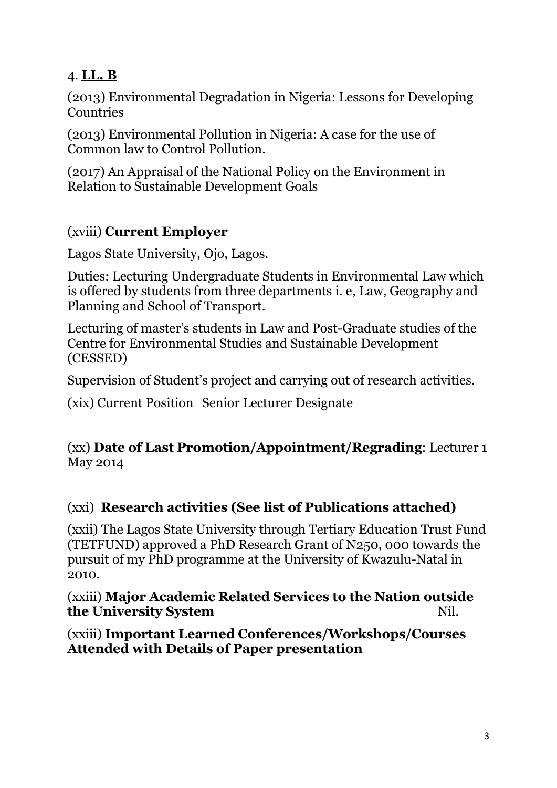#### 4. **LL. B**

(2013) Environmental Degradation in Nigeria: Lessons for Developing **Countries** 

(2013) Environmental Pollution in Nigeria: A case for the use of Common law to Control Pollution.

(2017) An Appraisal of the National Policy on the Environment in Relation to Sustainable Development Goals

### (xviii) **Current Employer**

Lagos State University, Ojo, Lagos.

Duties: Lecturing Undergraduate Students in Environmental Law which is offered by students from three departments i. e, Law, Geography and Planning and School of Transport.

Lecturing of master's students in Law and Post-Graduate studies of the Centre for Environmental Studies and Sustainable Development (CESSED)

Supervision of Student's project and carrying out of research activities.

(xix) Current Position Senior Lecturer Designate

#### (xx) **Date of Last Promotion/Appointment/Regrading**: Lecturer 1 May 2014

### (xxi) **Research activities (See list of Publications attached)**

(xxii) The Lagos State University through Tertiary Education Trust Fund (TETFUND) approved a PhD Research Grant of N250, 000 towards the pursuit of my PhD programme at the University of Kwazulu-Natal in 2010.

(xxiii) **Major Academic Related Services to the Nation outside the University System** Nil.

(xxiii) **Important Learned Conferences/Workshops/Courses Attended with Details of Paper presentation**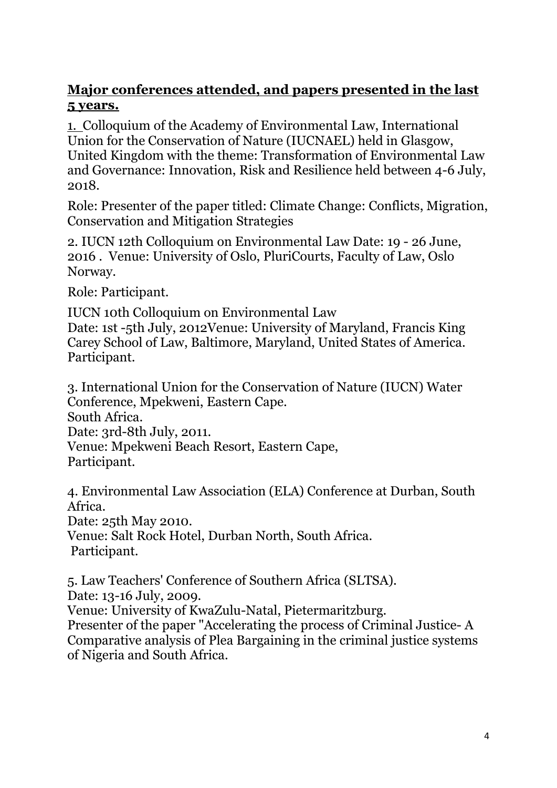#### **Major conferences attended, and papers presented in the last 5 years.**

1. Colloquium of the Academy of Environmental Law, International Union for the Conservation of Nature (IUCNAEL) held in Glasgow, United Kingdom with the theme: Transformation of Environmental Law and Governance: Innovation, Risk and Resilience held between 4-6 July, 2018.

Role: Presenter of the paper titled: Climate Change: Conflicts, Migration, Conservation and Mitigation Strategies

2. IUCN 12th Colloquium on Environmental Law Date: 19 - 26 June, 2016 . Venue: University of Oslo, PluriCourts, Faculty of Law, Oslo Norway.

Role: Participant.

IUCN 10th Colloquium on Environmental Law Date: 1st -5th July, 2012Venue: University of Maryland, Francis King Carey School of Law, Baltimore, Maryland, United States of America. Participant.

3. International Union for the Conservation of Nature (IUCN) Water Conference, Mpekweni, Eastern Cape. South Africa. Date: 3rd-8th July, 2011. Venue: Mpekweni Beach Resort, Eastern Cape, Participant.

4. Environmental Law Association (ELA) Conference at Durban, South Africa. Date: 25th May 2010. Venue: Salt Rock Hotel, Durban North, South Africa. Participant.

5. Law Teachers' Conference of Southern Africa (SLTSA). Date: 13-16 July, 2009. Venue: University of KwaZulu-Natal, Pietermaritzburg. Presenter of the paper "Accelerating the process of Criminal Justice- A Comparative analysis of Plea Bargaining in the criminal justice systems of Nigeria and South Africa.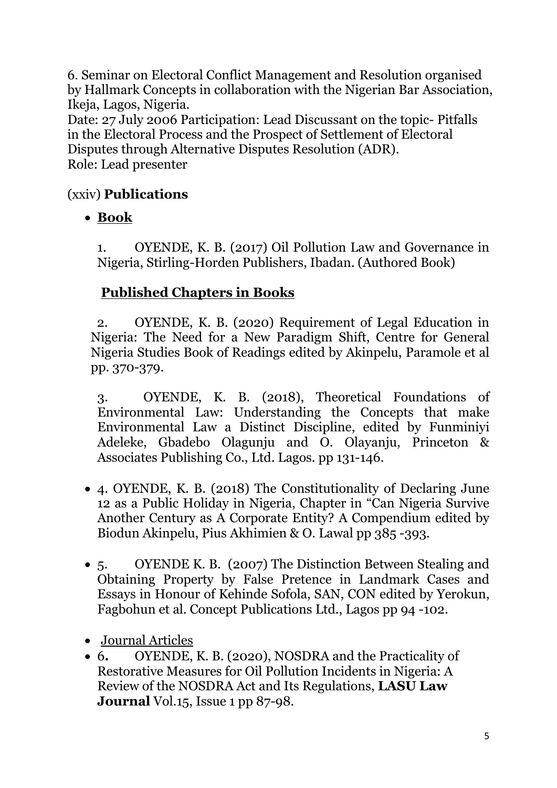6. Seminar on Electoral Conflict Management and Resolution organised by Hallmark Concepts in collaboration with the Nigerian Bar Association, Ikeja, Lagos, Nigeria.

Date: 27 July 2006 Participation: Lead Discussant on the topic- Pitfalls in the Electoral Process and the Prospect of Settlement of Electoral Disputes through Alternative Disputes Resolution (ADR). Role: Lead presenter

## (xxiv) **Publications**

**Book**

1. OYENDE, K. B. (2017) Oil Pollution Law and Governance in Nigeria, Stirling-Horden Publishers, Ibadan. (Authored Book)

## **Published Chapters in Books**

2. OYENDE, K. B. (2020) Requirement of Legal Education in Nigeria: The Need for a New Paradigm Shift, Centre for General Nigeria Studies Book of Readings edited by Akinpelu, Paramole et al pp. 370-379.

3. OYENDE, K. B. (2018), Theoretical Foundations of Environmental Law: Understanding the Concepts that make Environmental Law a Distinct Discipline, edited by Funminiyi Adeleke, Gbadebo Olagunju and O. Olayanju, Princeton & Associates Publishing Co., Ltd. Lagos. pp 131-146.

- 4. OYENDE, K. B. (2018) The Constitutionality of Declaring June 12 as a Public Holiday in Nigeria, Chapter in "Can Nigeria Survive Another Century as A Corporate Entity? A Compendium edited by Biodun Akinpelu, Pius Akhimien & O. Lawal pp 385 -393.
- 5. OYENDE K. B. (2007) The Distinction Between Stealing and Obtaining Property by False Pretence in Landmark Cases and Essays in Honour of Kehinde Sofola, SAN, CON edited by Yerokun, Fagbohun et al. Concept Publications Ltd., Lagos pp 94 -102.
- Journal Articles
- 6. OYENDE, K. B. (2020), NOSDRA and the Practicality of Restorative Measures for Oil Pollution Incidents in Nigeria: A Review of the NOSDRA Act and Its Regulations, **LASU Law Journal** Vol.15, Issue 1 pp 87-98.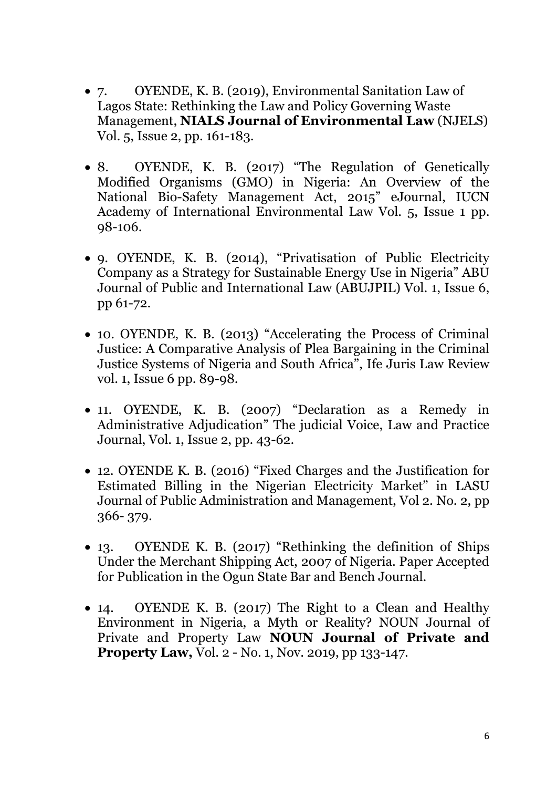- 7. OYENDE, K. B. (2019), Environmental Sanitation Law of Lagos State: Rethinking the Law and Policy Governing Waste Management, **NIALS Journal of Environmental Law** (NJELS) Vol. 5, Issue 2, pp. 161-183.
- 8. OYENDE, K. B. (2017) "The Regulation of Genetically Modified Organisms (GMO) in Nigeria: An Overview of the National Bio-Safety Management Act, 2015" eJournal, IUCN Academy of International Environmental Law Vol. 5, Issue 1 pp. 98-106.
- 9. OYENDE, K. B. (2014), "Privatisation of Public Electricity Company as a Strategy for Sustainable Energy Use in Nigeria" ABU Journal of Public and International Law (ABUJPIL) Vol. 1, Issue 6, pp 61-72.
- 10. OYENDE, K. B. (2013) "Accelerating the Process of Criminal Justice: A Comparative Analysis of Plea Bargaining in the Criminal Justice Systems of Nigeria and South Africa", Ife Juris Law Review vol. 1, Issue 6 pp. 89-98.
- 11. OYENDE, K. B. (2007) "Declaration as a Remedy in Administrative Adjudication" The judicial Voice, Law and Practice Journal, Vol. 1, Issue 2, pp. 43-62.
- 12. OYENDE K. B. (2016) "Fixed Charges and the Justification for Estimated Billing in the Nigerian Electricity Market" in LASU Journal of Public Administration and Management, Vol 2. No. 2, pp 366- 379.
- 13. OYENDE K. B. (2017) "Rethinking the definition of Ships Under the Merchant Shipping Act, 2007 of Nigeria. Paper Accepted for Publication in the Ogun State Bar and Bench Journal.
- 14. OYENDE K. B. (2017) The Right to a Clean and Healthy Environment in Nigeria, a Myth or Reality? NOUN Journal of Private and Property Law **NOUN Journal of Private and Property Law,** Vol. 2 - No. 1, Nov. 2019, pp 133-147.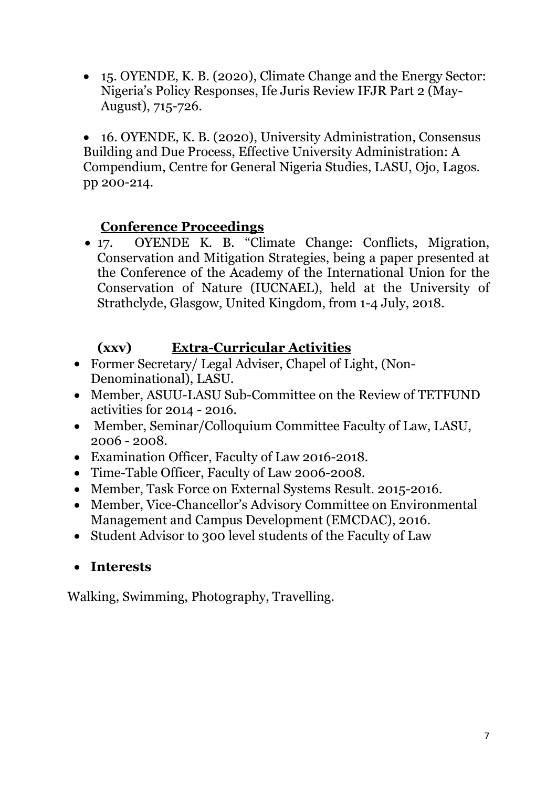15. OYENDE, K. B. (2020), Climate Change and the Energy Sector: Nigeria's Policy Responses, Ife Juris Review IFJR Part 2 (May- August), 715-726.

 16. OYENDE, K. B. (2020), University Administration, Consensus Building and Due Process, Effective University Administration: A Compendium, Centre for General Nigeria Studies, LASU, Ojo, Lagos. pp 200-214.

#### **Conference Proceedings**

 17. OYENDE K. B. "Climate Change: Conflicts, Migration, Conservation and Mitigation Strategies, being a paper presented at the Conference of the Academy of the International Union for the Conservation of Nature (IUCNAEL), held at the University of Strathclyde, Glasgow, United Kingdom, from 1-4 July, 2018.

#### **(xxv) Extra-Curricular Activities**

- Former Secretary/ Legal Adviser, Chapel of Light, (Non- Denominational), LASU.
- Member, ASUU-LASU Sub-Committee on the Review of TETFUND activities for 2014 - 2016.
- Member, Seminar/Colloquium Committee Faculty of Law, LASU, 2006 - 2008.
- Examination Officer, Faculty of Law 2016-2018.
- Time-Table Officer, Faculty of Law 2006-2008.
- Member, Task Force on External Systems Result. 2015-2016.
- Member, Vice-Chancellor's Advisory Committee on Environmental Management and Campus Development (EMCDAC), 2016.
- Student Advisor to 300 level students of the Faculty of Law
- **Interests**

Walking, Swimming, Photography, Travelling.